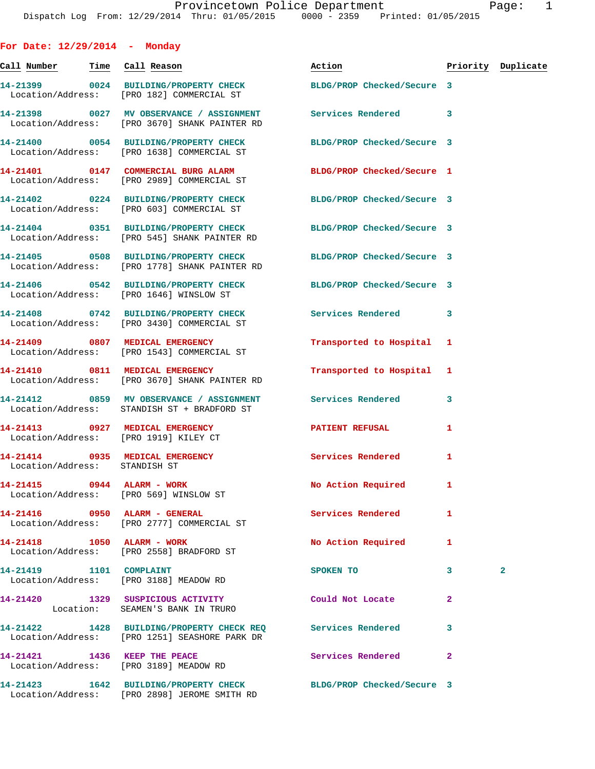| For Date: $12/29/2014$ - Monday       |                                                                                                                  |                            |              |                    |
|---------------------------------------|------------------------------------------------------------------------------------------------------------------|----------------------------|--------------|--------------------|
| <u>Call Number — Time Call Reason</u> |                                                                                                                  | Action                     |              | Priority Duplicate |
|                                       | 14-21399 0024 BUILDING/PROPERTY CHECK BLDG/PROP Checked/Secure 3<br>Location/Address: [PRO 182] COMMERCIAL ST    |                            |              |                    |
|                                       | 14-21398 0027 MV OBSERVANCE / ASSIGNMENT Services Rendered<br>Location/Address: [PRO 3670] SHANK PAINTER RD      |                            | 3            |                    |
|                                       | 14-21400 0054 BUILDING/PROPERTY CHECK<br>Location/Address: [PRO 1638] COMMERCIAL ST                              | BLDG/PROP Checked/Secure 3 |              |                    |
|                                       | 14-21401 0147 COMMERCIAL BURG ALARM<br>Location/Address: [PRO 2989] COMMERCIAL ST                                | BLDG/PROP Checked/Secure 1 |              |                    |
|                                       | 14-21402 0224 BUILDING/PROPERTY CHECK BLDG/PROP Checked/Secure 3<br>Location/Address: [PRO 603] COMMERCIAL ST    |                            |              |                    |
|                                       | 14-21404 0351 BUILDING/PROPERTY CHECK<br>Location/Address: [PRO 545] SHANK PAINTER RD                            | BLDG/PROP Checked/Secure 3 |              |                    |
|                                       | 14-21405 0508 BUILDING/PROPERTY CHECK<br>Location/Address: [PRO 1778] SHANK PAINTER RD                           | BLDG/PROP Checked/Secure 3 |              |                    |
|                                       | 14-21406 0542 BUILDING/PROPERTY CHECK<br>Location/Address: [PRO 1646] WINSLOW ST                                 | BLDG/PROP Checked/Secure 3 |              |                    |
|                                       | 14-21408 0742 BUILDING/PROPERTY CHECK<br>Location/Address: [PRO 3430] COMMERCIAL ST                              | Services Rendered          | 3            |                    |
|                                       | 14-21409 0807 MEDICAL EMERGENCY<br>Location/Address: [PRO 1543] COMMERCIAL ST                                    | Transported to Hospital 1  |              |                    |
|                                       | 14-21410 0811 MEDICAL EMERGENCY<br>Location/Address: [PRO 3670] SHANK PAINTER RD                                 | Transported to Hospital 1  |              |                    |
|                                       | 14-21412 0859 MV OBSERVANCE / ASSIGNMENT Services Rendered<br>Location/Address: STANDISH ST + BRADFORD ST        |                            | 3            |                    |
| Location/Address: [PRO 1919] KILEY CT | 14-21413 0927 MEDICAL EMERGENCY                                                                                  | <b>PATIENT REFUSAL</b>     | 1            |                    |
| Location/Address: STANDISH ST         | 14-21414 0935 MEDICAL EMERGENCY                                                                                  | Services Rendered          | 1            |                    |
| 14-21415 0944 ALARM - WORK            | Location/Address: [PRO 569] WINSLOW ST                                                                           | No Action Required         | 1            |                    |
|                                       | Location/Address: [PRO 2777] COMMERCIAL ST                                                                       | <b>Services Rendered</b>   | 1            |                    |
| 14-21418 1050 ALARM - WORK            | Location/Address: [PRO 2558] BRADFORD ST                                                                         | No Action Required         | 1            |                    |
|                                       | Location/Address: [PRO 3188] MEADOW RD                                                                           | SPOKEN TO                  | 3            | $\mathbf{2}$       |
|                                       | 14-21420 1329 SUSPICIOUS ACTIVITY<br>Location: SEAMEN'S BANK IN TRURO                                            | Could Not Locate           | $\mathbf{2}$ |                    |
|                                       | 14-21422 1428 BUILDING/PROPERTY CHECK REQ Services Rendered<br>Location/Address: [PRO 1251] SEASHORE PARK DR     |                            | 3            |                    |
|                                       | 14-21421 1436 KEEP THE PEACE<br>Location/Address: [PRO 3189] MEADOW RD                                           | Services Rendered          | $\mathbf{2}$ |                    |
|                                       | 14-21423 1642 BUILDING/PROPERTY CHECK BLDG/PROP Checked/Secure 3<br>Location/Address: [PRO 2898] JEROME SMITH RD |                            |              |                    |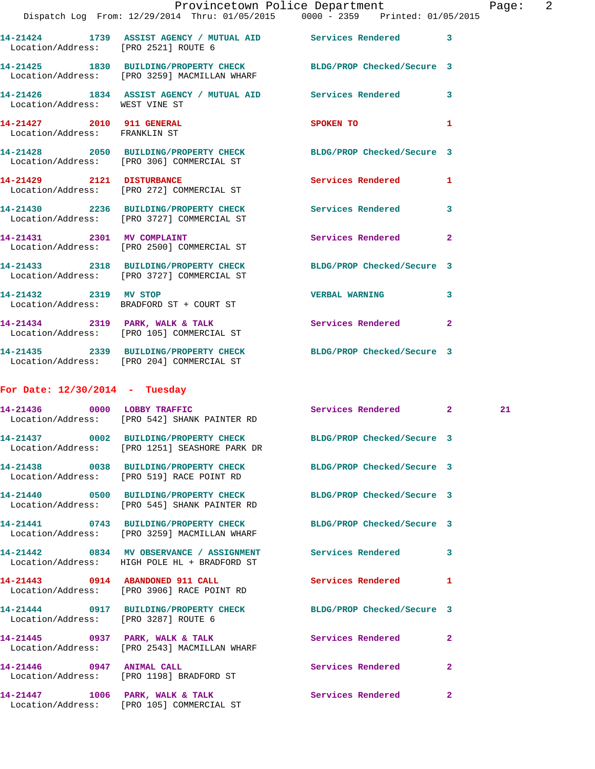|                                                            | Provincetown Police Department                                                                                   |                            | Page: 2        |
|------------------------------------------------------------|------------------------------------------------------------------------------------------------------------------|----------------------------|----------------|
|                                                            | Dispatch Log From: 12/29/2014 Thru: 01/05/2015 0000 - 2359 Printed: 01/05/2015                                   |                            |                |
|                                                            | 14-21424 1739 ASSIST AGENCY / MUTUAL AID Services Rendered 3<br>Location/Address: [PRO 2521] ROUTE 6             |                            |                |
|                                                            | 14-21425 1830 BUILDING/PROPERTY CHECK BLDG/PROP Checked/Secure 3<br>Location/Address: [PRO 3259] MACMILLAN WHARF |                            |                |
|                                                            | 14-21426 1834 ASSIST AGENCY / MUTUAL AID Services Rendered 3<br>Location/Address: WEST VINE ST                   |                            |                |
| 14-21427 2010 911 GENERAL<br>Location/Address: FRANKLIN ST |                                                                                                                  | SPOKEN TO                  | $\mathbf{1}$   |
|                                                            | 14-21428 2050 BUILDING/PROPERTY CHECK BLDG/PROP Checked/Secure 3<br>Location/Address: [PRO 306] COMMERCIAL ST    |                            |                |
|                                                            | 14-21429 2121 DISTURBANCE<br>Location/Address: [PRO 272] COMMERCIAL ST                                           | Services Rendered 1        |                |
|                                                            | 14-21430 2236 BUILDING/PROPERTY CHECK Services Rendered 3<br>Location/Address: [PRO 3727] COMMERCIAL ST          |                            |                |
|                                                            | 14-21431 2301 MV COMPLAINT<br>Location/Address: [PRO 2500] COMMERCIAL ST                                         | Services Rendered          | $\overline{2}$ |
|                                                            | 14-21433 2318 BUILDING/PROPERTY CHECK BLDG/PROP Checked/Secure 3<br>Location/Address: [PRO 3727] COMMERCIAL ST   |                            |                |
| 14-21432 2319 MV STOP                                      | Location/Address: BRADFORD ST + COURT ST                                                                         | <b>VERBAL WARNING</b>      | 3              |
|                                                            | 14-21434 2319 PARK, WALK & TALK 2 Services Rendered 2<br>Location/Address: [PRO 105] COMMERCIAL ST               |                            |                |
|                                                            | 14-21435 2339 BUILDING/PROPERTY CHECK BLDG/PROP Checked/Secure 3<br>Location/Address: [PRO 204] COMMERCIAL ST    |                            |                |
| For Date: $12/30/2014$ - Tuesday                           |                                                                                                                  |                            |                |
|                                                            | 14-21436 0000 LOBBY TRAFFIC<br>Location/Address: [PRO 542] SHANK PAINTER RD                                      | Services Rendered 2        | 21             |
|                                                            | 14-21437 0002 BUILDING/PROPERTY CHECK<br>Location/Address: [PRO 1251] SEASHORE PARK DR                           | BLDG/PROP Checked/Secure 3 |                |
|                                                            | 14-21438 0038 BUILDING/PROPERTY CHECK BLDG/PROP Checked/Secure 3<br>Location/Address: [PRO 519] RACE POINT RD    |                            |                |
|                                                            | 14-21440 0500 BUILDING/PROPERTY CHECK BLDG/PROP Checked/Secure 3<br>Location/Address: [PRO 545] SHANK PAINTER RD |                            |                |
|                                                            | 14-21441 0743 BUILDING/PROPERTY CHECK BLDG/PROP Checked/Secure 3<br>Location/Address: [PRO 3259] MACMILLAN WHARF |                            |                |
|                                                            | 14-21442 0834 MV OBSERVANCE / ASSIGNMENT Services Rendered 3<br>Location/Address: HIGH POLE HL + BRADFORD ST     |                            |                |
|                                                            | 14-21443 0914 ABANDONED 911 CALL<br>Location/Address: [PRO 3906] RACE POINT RD                                   | Services Rendered          | $\mathbf{1}$   |
|                                                            | 14-21444 0917 BUILDING/PROPERTY CHECK BLDG/PROP Checked/Secure 3<br>Location/Address: [PRO 3287] ROUTE 6         |                            |                |
|                                                            | 14-21445 0937 PARK, WALK & TALK Services Rendered<br>Location/Address: [PRO 2543] MACMILLAN WHARF                |                            | 2              |
| 14-21446 0947 ANIMAL CALL                                  | Location/Address: [PRO 1198] BRADFORD ST                                                                         | Services Rendered          | $\mathbf{2}$   |
|                                                            |                                                                                                                  |                            |                |

**14-21447 1006 PARK, WALK & TALK Services Rendered 2**  Location/Address: [PRO 105] COMMERCIAL ST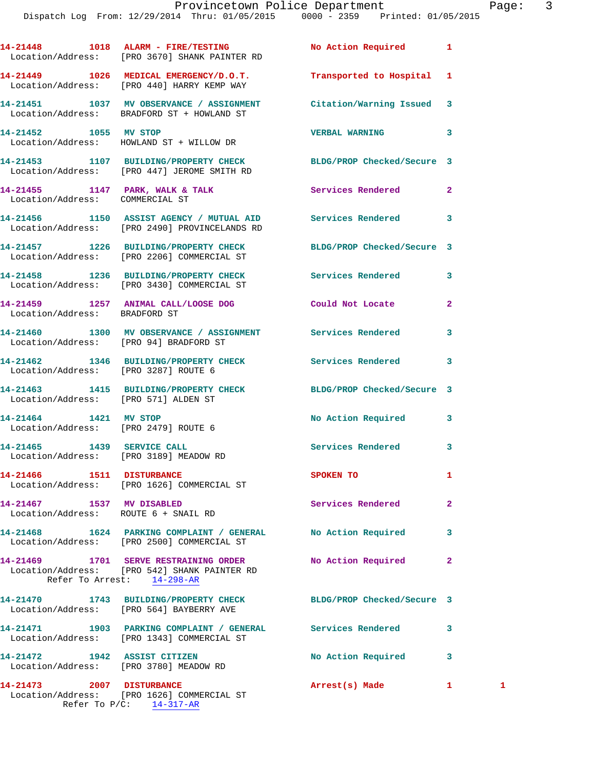|                                                                            | 14-21448 1018 ALARM - FIRE/TESTING<br>Location/Address: [PRO 3670] SHANK PAINTER RD                              | <b>No Action Required</b>  | 1              |   |
|----------------------------------------------------------------------------|------------------------------------------------------------------------------------------------------------------|----------------------------|----------------|---|
|                                                                            | 14-21449 1026 MEDICAL EMERGENCY/D.O.T. Transported to Hospital 1<br>Location/Address: [PRO 440] HARRY KEMP WAY   |                            |                |   |
|                                                                            | 14-21451 1037 MV OBSERVANCE / ASSIGNMENT Citation/Warning Issued 3<br>Location/Address: BRADFORD ST + HOWLAND ST |                            |                |   |
| 14-21452 1055 MV STOP                                                      | Location/Address: HOWLAND ST + WILLOW DR                                                                         | <b>VERBAL WARNING</b>      | 3              |   |
|                                                                            | 14-21453 1107 BUILDING/PROPERTY CHECK BLDG/PROP Checked/Secure 3<br>Location/Address: [PRO 447] JEROME SMITH RD  |                            |                |   |
| Location/Address: COMMERCIAL ST                                            | 14-21455 1147 PARK, WALK & TALK 1988 Services Rendered                                                           |                            | $\mathbf{2}$   |   |
|                                                                            | 14-21456 1150 ASSIST AGENCY / MUTUAL AID Services Rendered<br>Location/Address: [PRO 2490] PROVINCELANDS RD      |                            | 3              |   |
|                                                                            | 14-21457 1226 BUILDING/PROPERTY CHECK<br>Location/Address: [PRO 2206] COMMERCIAL ST                              | BLDG/PROP Checked/Secure 3 |                |   |
|                                                                            | 14-21458 1236 BUILDING/PROPERTY CHECK Services Rendered<br>Location/Address: [PRO 3430] COMMERCIAL ST            |                            | 3              |   |
| Location/Address: BRADFORD ST                                              | 14-21459 1257 ANIMAL CALL/LOOSE DOG Could Not Locate                                                             |                            | 2              |   |
|                                                                            | 14-21460 1300 MV OBSERVANCE / ASSIGNMENT Services Rendered<br>Location/Address: [PRO 94] BRADFORD ST             |                            | 3              |   |
| Location/Address: [PRO 3287] ROUTE 6                                       | 14-21462 1346 BUILDING/PROPERTY CHECK Services Rendered                                                          |                            | 3              |   |
| Location/Address: [PRO 571] ALDEN ST                                       | 14-21463 1415 BUILDING/PROPERTY CHECK BLDG/PROP Checked/Secure 3                                                 |                            |                |   |
| 14-21464 1421 MV STOP                                                      | Location/Address: [PRO 2479] ROUTE 6                                                                             | No Action Required         | 3              |   |
| 14-21465    1439    SERVICE CALL<br>Location/Address: [PRO 3189] MEADOW RD |                                                                                                                  | <b>Services Rendered</b>   | 3              |   |
| 14-21466 1511 DISTURBANCE                                                  | Location/Address: [PRO 1626] COMMERCIAL ST                                                                       | SPOKEN TO                  | 1              |   |
| 14-21467 1537 MV DISABLED<br>Location/Address: ROUTE 6 + SNAIL RD          |                                                                                                                  | Services Rendered          | $\overline{a}$ |   |
|                                                                            | 14-21468 1624 PARKING COMPLAINT / GENERAL No Action Required<br>Location/Address: [PRO 2500] COMMERCIAL ST       |                            | 3              |   |
| Refer To Arrest: 14-298-AR                                                 | 14-21469 1701 SERVE RESTRAINING ORDER<br>Location/Address: [PRO 542] SHANK PAINTER RD                            | No Action Required         | $\mathbf{2}$   |   |
|                                                                            | 14-21470 1743 BUILDING/PROPERTY CHECK BLDG/PROP Checked/Secure 3<br>Location/Address: [PRO 564] BAYBERRY AVE     |                            |                |   |
|                                                                            | 14-21471 1903 PARKING COMPLAINT / GENERAL Services Rendered<br>Location/Address: [PRO 1343] COMMERCIAL ST        |                            | 3              |   |
|                                                                            | 14-21472 1942 ASSIST CITIZEN<br>Location/Address: [PRO 3780] MEADOW RD                                           | No Action Required         | 3              |   |
| 14-21473 2007 DISTURBANCE                                                  | Location/Address: [PRO 1626] COMMERCIAL ST                                                                       | Arrest(s) Made             | 1              | 1 |

Refer To P/C: 14-317-AR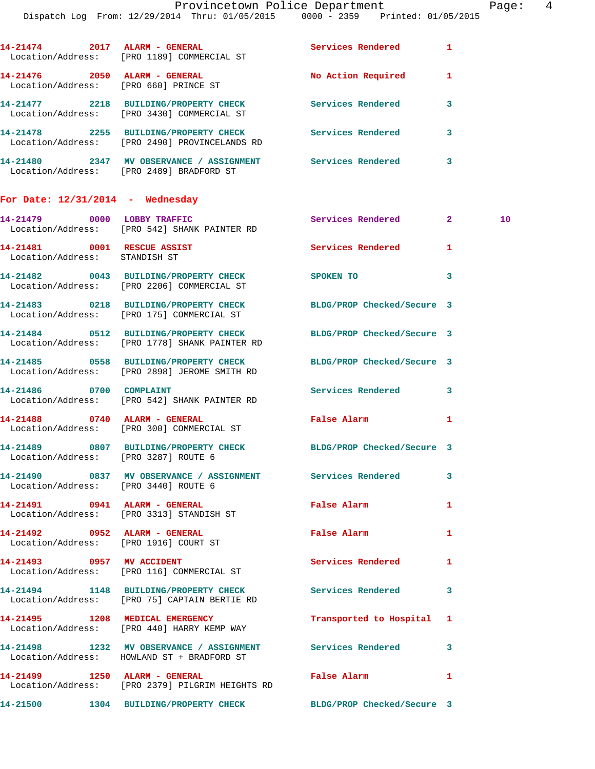| 14-21474                           |      | 2017 ALARM - GENERAL<br>Location/Address: [PRO 1189] COMMERCIAL ST              | Services Rendered  | 1 |
|------------------------------------|------|---------------------------------------------------------------------------------|--------------------|---|
| 14-21476                           | 2050 | ALARM - GENERAL<br>Location/Address: [PRO 660] PRINCE ST                        | No Action Required | 1 |
| 14-21477                           | 2218 | <b>BUILDING/PROPERTY CHECK</b><br>Location/Address: [PRO 3430] COMMERCIAL ST    | Services Rendered  | 3 |
| 14-21478                           | 2255 | <b>BUILDING/PROPERTY CHECK</b><br>Location/Address: [PRO 2490] PROVINCELANDS RD | Services Rendered  | 3 |
| 14-21480                           |      | 2347 MV OBSERVANCE / ASSIGNMENT<br>Location/Address: [PRO 2489] BRADFORD ST     | Services Rendered  | 3 |
| For Date: $12/31/2014$ - Wednesday |      |                                                                                 |                    |   |

|                                      | 14-21479 0000 LOBBY TRAFFIC Services Rendered 2 10<br>Location/Address: [PRO 542] SHANK PAINTER RD               |                                                                                                                |                         |  |
|--------------------------------------|------------------------------------------------------------------------------------------------------------------|----------------------------------------------------------------------------------------------------------------|-------------------------|--|
| Location/Address: STANDISH ST        | 14-21481 0001 RESCUE ASSIST                                                                                      | Services Rendered 1                                                                                            |                         |  |
|                                      | 14-21482 0043 BUILDING/PROPERTY CHECK SPOKEN TO<br>Location/Address: [PRO 2206] COMMERCIAL ST                    |                                                                                                                | $\overline{\mathbf{3}}$ |  |
|                                      | 14-21483 0218 BUILDING/PROPERTY CHECK BLDG/PROP Checked/Secure 3<br>Location/Address: [PRO 175] COMMERCIAL ST    |                                                                                                                |                         |  |
|                                      | 14-21484 0512 BUILDING/PROPERTY CHECK<br>Location/Address: [PRO 1778] SHANK PAINTER RD                           | BLDG/PROP Checked/Secure 3                                                                                     |                         |  |
|                                      | 14-21485 0558 BUILDING/PROPERTY CHECK BLDG/PROP Checked/Secure 3<br>Location/Address: [PRO 2898] JEROME SMITH RD |                                                                                                                |                         |  |
|                                      | 14-21486 0700 COMPLAINT 3<br>Location/Address: [PRO 542] SHANK PAINTER RD                                        |                                                                                                                |                         |  |
|                                      | 14-21488 0740 ALARM - GENERAL<br>Location/Address: [PRO 300] COMMERCIAL ST                                       | False Alarm and the state of the state of the state of the state of the state of the state of the state of the | $\mathbf{1}$            |  |
| Location/Address: [PRO 3287] ROUTE 6 | 14-21489 0807 BUILDING/PROPERTY CHECK BLDG/PROP Checked/Secure 3                                                 |                                                                                                                |                         |  |
| Location/Address: [PRO 3440] ROUTE 6 | 14-21490 0837 MV OBSERVANCE / ASSIGNMENT Services Rendered                                                       |                                                                                                                | 3                       |  |
|                                      | 14-21491 0941 ALARM - GENERAL<br>Location/Address: [PRO 3313] STANDISH ST                                        | False Alarm                                                                                                    | 1                       |  |
|                                      | 14-21492 0952 ALARM - GENERAL<br>Location/Address: [PRO 1916] COURT ST                                           | False Alarm                                                                                                    | $\mathbf{1}$            |  |
|                                      | 14-21493 0957 MV ACCIDENT<br>Location/Address: [PRO 116] COMMERCIAL ST                                           | Services Rendered                                                                                              | 1                       |  |
|                                      | 14-21494 1148 BUILDING/PROPERTY CHECK Services Rendered<br>Location/Address: [PRO 75] CAPTAIN BERTIE RD          |                                                                                                                | 3                       |  |
|                                      | 14-21495 1208 MEDICAL EMERGENCY<br>Location/Address: [PRO 440] HARRY KEMP WAY                                    | Transported to Hospital 1                                                                                      |                         |  |
|                                      | 14-21498 1232 MV OBSERVANCE / ASSIGNMENT Services Rendered 3<br>Location/Address: HOWLAND ST + BRADFORD ST       |                                                                                                                |                         |  |
|                                      | Location/Address: [PRO 2379] PILGRIM HEIGHTS RD                                                                  | False Alarm                                                                                                    | 1                       |  |

**14-21500 1304 BUILDING/PROPERTY CHECK BLDG/PROP Checked/Secure 3**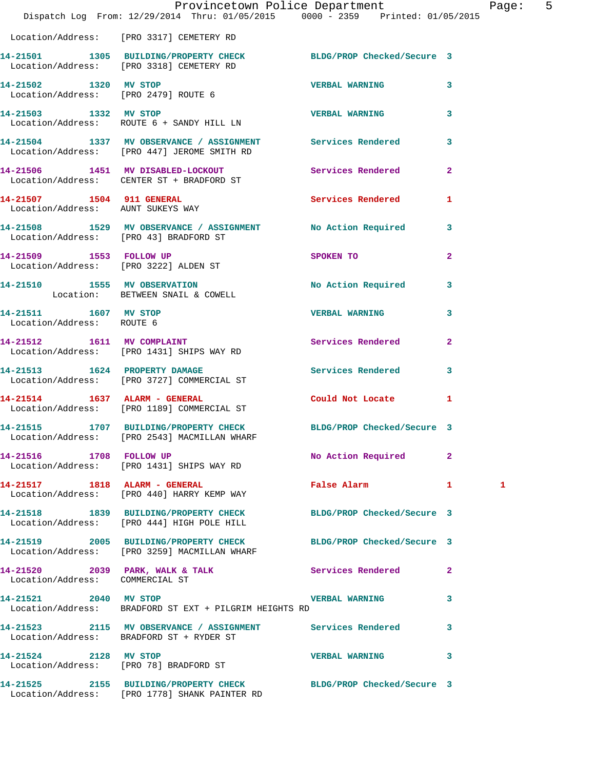|                                                    | Provincetown Police Department<br>Dispatch Log From: 12/29/2014 Thru: 01/05/2015 0000 - 2359 Printed: 01/05/2015 |                          |                | Pag          |
|----------------------------------------------------|------------------------------------------------------------------------------------------------------------------|--------------------------|----------------|--------------|
|                                                    | Location/Address: [PRO 3317] CEMETERY RD                                                                         |                          |                |              |
|                                                    | 14-21501 1305 BUILDING/PROPERTY CHECK BLDG/PROP Checked/Secure 3<br>Location/Address: [PRO 3318] CEMETERY RD     |                          |                |              |
|                                                    | 14-21502 1320 MV STOP<br>Location/Address: [PRO 2479] ROUTE 6                                                    | VERBAL WARNING           | 3              |              |
|                                                    | 14-21503 1332 MV STOP 1200 2000 2000 2000 VERBAL WARNING<br>Location/Address: ROUTE 6 + SANDY HILL LN            |                          | 3              |              |
|                                                    | 14-21504 1337 MV OBSERVANCE / ASSIGNMENT Services Rendered<br>Location/Address: [PRO 447] JEROME SMITH RD        |                          | 3              |              |
|                                                    | 14-21506 1451 MV DISABLED-LOCKOUT Services Rendered<br>Location/Address: CENTER ST + BRADFORD ST                 |                          | $\overline{2}$ |              |
|                                                    | 14-21507 1504 911 GENERAL<br>Location/Address: AUNT SUKEYS WAY                                                   | Services Rendered        | 1              |              |
|                                                    | 14-21508 1529 MV OBSERVANCE / ASSIGNMENT No Action Required<br>Location/Address: [PRO 43] BRADFORD ST            |                          | 3              |              |
|                                                    | 14-21509 1553 FOLLOW UP<br>Location/Address: [PRO 3222] ALDEN ST                                                 | SPOKEN TO                | $\overline{a}$ |              |
|                                                    | 14-21510 1555 MV OBSERVATION<br>Location: BETWEEN SNAIL & COWELL                                                 | No Action Required       | 3              |              |
| 14-21511 1607 MV STOP<br>Location/Address: ROUTE 6 |                                                                                                                  | <b>VERBAL WARNING</b>    | 3              |              |
|                                                    | 14-21512 1611 MV COMPLAINT<br>Location/Address: [PRO 1431] SHIPS WAY RD                                          | <b>Services Rendered</b> | $\overline{2}$ |              |
|                                                    | 14-21513 1624 PROPERTY DAMAGE<br>Location/Address: [PRO 3727] COMMERCIAL ST                                      | Services Rendered        | 3              |              |
|                                                    | 14-21514    1637    ALARM - GENERAL<br>Location/Address: [PRO 1189] COMMERCIAL ST                                | Could Not Locate 1       |                |              |
|                                                    | 14-21515 1707 BUILDING/PROPERTY CHECK BLDG/PROP Checked/Secure 3<br>Location/Address: [PRO 2543] MACMILLAN WHARF |                          |                |              |
|                                                    | 14-21516 1708 FOLLOW UP<br>Location/Address: [PRO 1431] SHIPS WAY RD                                             | No Action Required       | $\mathbf{2}$   |              |
|                                                    | 14-21517 1818 ALARM - GENERAL<br>Location/Address: [PRO 440] HARRY KEMP WAY                                      | False Alarm              | $\mathbf{1}$   | $\mathbf{1}$ |
|                                                    | 14-21518 1839 BUILDING/PROPERTY CHECK BLDG/PROP Checked/Secure 3<br>Location/Address: [PRO 444] HIGH POLE HILL   |                          |                |              |
|                                                    | 14-21519 2005 BUILDING/PROPERTY CHECK BLDG/PROP Checked/Secure 3<br>Location/Address: [PRO 3259] MACMILLAN WHARF |                          |                |              |
| Location/Address: COMMERCIAL ST                    | 14-21520 2039 PARK, WALK & TALK Services Rendered                                                                |                          | 2              |              |
| 14-21521 2040 MV STOP                              | Location/Address: BRADFORD ST EXT + PILGRIM HEIGHTS RD                                                           | <b>VERBAL WARNING</b>    | 3              |              |
|                                                    | 14-21523 2115 MV OBSERVANCE / ASSIGNMENT Services Rendered<br>Location/Address: BRADFORD ST + RYDER ST           |                          | 3              |              |
| 14-21524 2128 MV STOP                              | Location/Address: [PRO 78] BRADFORD ST                                                                           | <b>VERBAL WARNING</b>    | 3              |              |
|                                                    | 14-21525 2155 BUILDING/PROPERTY CHECK BLDG/PROP Checked/Secure 3                                                 |                          |                |              |

Location/Address: [PRO 1778] SHANK PAINTER RD

age: 5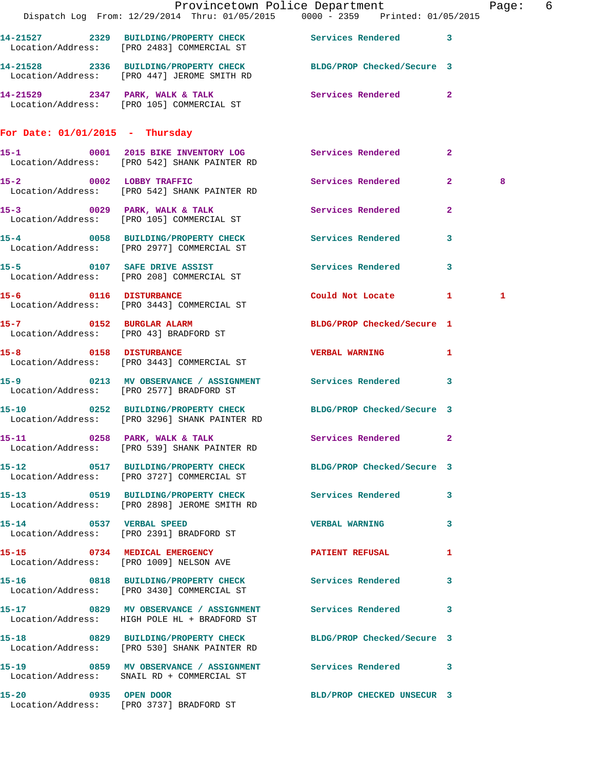|                                   | Dispatch Log From: 12/29/2014 Thru: 01/05/2015 0000 - 2359 Printed: 01/05/2015                                  | Provincetown Police Department |              | Page: 6 |  |
|-----------------------------------|-----------------------------------------------------------------------------------------------------------------|--------------------------------|--------------|---------|--|
|                                   | 14-21527 2329 BUILDING/PROPERTY CHECK Services Rendered 3<br>Location/Address: [PRO 2483] COMMERCIAL ST         |                                |              |         |  |
|                                   | 14-21528 2336 BUILDING/PROPERTY CHECK BLDG/PROP Checked/Secure 3<br>Location/Address: [PRO 447] JEROME SMITH RD |                                |              |         |  |
|                                   | 14-21529 2347 PARK, WALK & TALK 3 Services Rendered 2<br>Location/Address: [PRO 105] COMMERCIAL ST              |                                |              |         |  |
| For Date: $01/01/2015$ - Thursday |                                                                                                                 |                                |              |         |  |
|                                   | 15-1 0001 2015 BIKE INVENTORY LOG Services Rendered<br>Location/Address: [PRO 542] SHANK PAINTER RD             |                                | $\mathbf{2}$ |         |  |
|                                   | 15-2 0002 LOBBY TRAFFIC<br>Location/Address: [PRO 542] SHANK PAINTER RD                                         | Services Rendered 2            |              | 8       |  |
|                                   | 15-3 0029 PARK, WALK & TALK<br>Location/Address: [PRO 105] COMMERCIAL ST                                        | Services Rendered              | $\mathbf{2}$ |         |  |
|                                   | 15-4 0058 BUILDING/PROPERTY CHECK Services Rendered<br>Location/Address: [PRO 2977] COMMERCIAL ST               |                                | 3            |         |  |
|                                   | 15-5 0107 SAFE DRIVE ASSIST<br>Location/Address: [PRO 208] COMMERCIAL ST                                        | <b>Services Rendered</b>       | $\mathbf{3}$ |         |  |
|                                   | 15-6 0116 DISTURBANCE<br>Location/Address: [PRO 3443] COMMERCIAL ST                                             | Could Not Locate 1             |              | 1       |  |
|                                   | 15-7 0152 BURGLAR ALARM<br>Location/Address: [PRO 43] BRADFORD ST                                               | BLDG/PROP Checked/Secure 1     |              |         |  |
|                                   | 15-8 0158 DISTURBANCE<br>Location/Address: [PRO 3443] COMMERCIAL ST                                             | <b>VERBAL WARNING</b>          | 1            |         |  |
|                                   | 15-9 		 0213 MV OBSERVANCE / ASSIGNMENT Services Rendered 3<br>Location/Address: [PRO 2577] BRADFORD ST         |                                |              |         |  |
|                                   | 15-10 0252 BUILDING/PROPERTY CHECK BLDG/PROP Checked/Secure 3<br>Location/Address: [PRO 3296] SHANK PAINTER RD  |                                |              |         |  |
|                                   | 15-11 0258 PARK, WALK & TALK<br>Location/Address: [PRO 539] SHANK PAINTER RD                                    | Services Rendered 2            |              |         |  |
|                                   | 15-12 0517 BUILDING/PROPERTY CHECK BLDG/PROP Checked/Secure 3<br>Location/Address: [PRO 3727] COMMERCIAL ST     |                                |              |         |  |
|                                   | 15-13 0519 BUILDING/PROPERTY CHECK Services Rendered 3<br>Location/Address: [PRO 2898] JEROME SMITH RD          |                                |              |         |  |
| 15-14 0537 VERBAL SPEED           | Location/Address: [PRO 2391] BRADFORD ST                                                                        | <b>VERBAL WARNING</b>          | 3            |         |  |
|                                   | 15-15 0734 MEDICAL EMERGENCY<br>Location/Address: [PRO 1009] NELSON AVE                                         | PATIENT REFUSAL                | $\mathbf{1}$ |         |  |
|                                   | 15-16 		 0818 BUILDING/PROPERTY CHECK Services Rendered<br>Location/Address: [PRO 3430] COMMERCIAL ST           |                                | $\mathbf{3}$ |         |  |
|                                   | 15-17 0829 MV OBSERVANCE / ASSIGNMENT Services Rendered 3<br>Location/Address: HIGH POLE HL + BRADFORD ST       |                                |              |         |  |
|                                   | 15-18 0829 BUILDING/PROPERTY CHECK BLDG/PROP Checked/Secure 3<br>Location/Address: [PRO 530] SHANK PAINTER RD   |                                |              |         |  |
|                                   | 15-19 		 0859 MV OBSERVANCE / ASSIGNMENT Services Rendered 3<br>Location/Address: SNAIL RD + COMMERCIAL ST      |                                |              |         |  |
| 15-20 0935 OPEN DOOR              | Location/Address: [PRO 3737] BRADFORD ST                                                                        | BLD/PROP CHECKED UNSECUR 3     |              |         |  |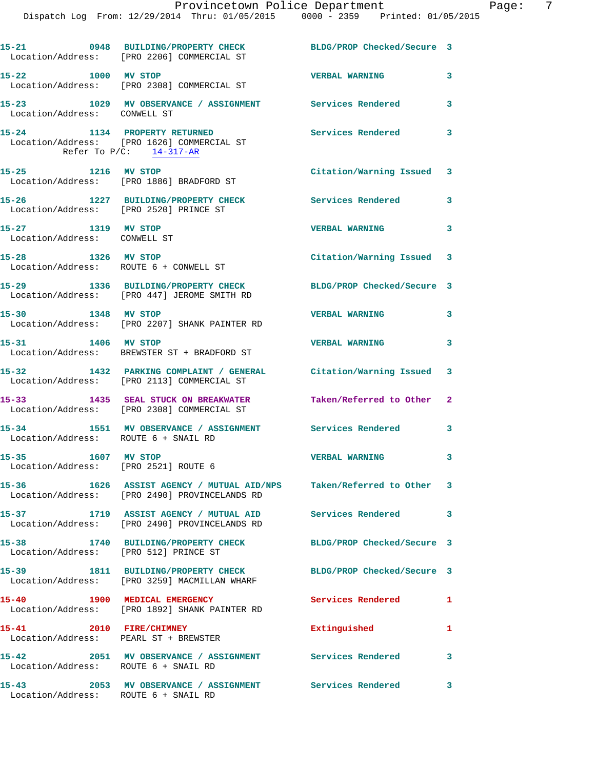|                                                                  | 15-21 0948 BUILDING/PROPERTY CHECK<br>Location/Address: [PRO 2206] COMMERCIAL ST                                     | BLDG/PROP Checked/Secure 3 |                         |
|------------------------------------------------------------------|----------------------------------------------------------------------------------------------------------------------|----------------------------|-------------------------|
| 15-22 1000 MV STOP                                               | Location/Address: [PRO 2308] COMMERCIAL ST                                                                           | <b>VERBAL WARNING</b>      | 3                       |
| Location/Address: CONWELL ST                                     | 15-23 1029 MV OBSERVANCE / ASSIGNMENT Services Rendered 3                                                            |                            |                         |
|                                                                  | 15-24 1134 PROPERTY RETURNED<br>Location/Address: [PRO 1626] COMMERCIAL ST<br>Refer To $P/C$ : 14-317-AR             | Services Rendered 3        |                         |
| 15-25 1216 MV STOP                                               | Location/Address: [PRO 1886] BRADFORD ST                                                                             | Citation/Warning Issued 3  |                         |
| Location/Address: [PRO 2520] PRINCE ST                           | 15-26 1227 BUILDING/PROPERTY CHECK                                                                                   | Services Rendered 3        |                         |
| 15-27 1319 MV STOP<br>Location/Address: CONWELL ST               |                                                                                                                      | <b>VERBAL WARNING</b>      | 3                       |
| 15-28 1326 MV STOP                                               | Location/Address: ROUTE 6 + CONWELL ST                                                                               | Citation/Warning Issued 3  |                         |
|                                                                  | 15-29 1336 BUILDING/PROPERTY CHECK<br>Location/Address: [PRO 447] JEROME SMITH RD                                    | BLDG/PROP Checked/Secure 3 |                         |
| 15-30 1348 MV STOP                                               | Location/Address: [PRO 2207] SHANK PAINTER RD                                                                        | <b>VERBAL WARNING</b>      | $\overline{\mathbf{3}}$ |
| 15-31 1406 MV STOP                                               | Location/Address: BREWSTER ST + BRADFORD ST                                                                          | <b>VERBAL WARNING</b>      | 3                       |
|                                                                  | 15-32 1432 PARKING COMPLAINT / GENERAL Citation/Warning Issued 3<br>Location/Address: [PRO 2113] COMMERCIAL ST       |                            |                         |
|                                                                  | 15-33 1435 SEAL STUCK ON BREAKWATER<br>Location/Address: [PRO 2308] COMMERCIAL ST                                    | Taken/Referred to Other 2  |                         |
| 15-34<br>Location/Address: ROUTE 6 + SNAIL RD                    | 1551 MV OBSERVANCE / ASSIGNMENT Services Rendered 3                                                                  |                            |                         |
| 15-35 1607 MV STOP<br>Location/Address: [PRO 2521] ROUTE 6       |                                                                                                                      | <b>VERBAL WARNING</b>      | 3                       |
|                                                                  | 15-36 1626 ASSIST AGENCY / MUTUAL AID/NPS Taken/Referred to Other 3<br>Location/Address: [PRO 2490] PROVINCELANDS RD |                            |                         |
|                                                                  | 15-37 1719 ASSIST AGENCY / MUTUAL AID Services Rendered<br>Location/Address: [PRO 2490] PROVINCELANDS RD             |                            | 3                       |
| 15-38<br>Location/Address: [PRO 512] PRINCE ST                   | 1740 BUILDING/PROPERTY CHECK                                                                                         | BLDG/PROP Checked/Secure 3 |                         |
|                                                                  | 15-39 1811 BUILDING/PROPERTY CHECK<br>Location/Address: [PRO 3259] MACMILLAN WHARF                                   | BLDG/PROP Checked/Secure 3 |                         |
| 15-40 1900 MEDICAL EMERGENCY                                     | Location/Address: [PRO 1892] SHANK PAINTER RD                                                                        | Services Rendered 1        |                         |
| 15-41 2010 FIRE/CHIMNEY<br>Location/Address: PEARL ST + BREWSTER |                                                                                                                      | Extinguished               | 1                       |
| 15-42<br>Location/Address: ROUTE 6 + SNAIL RD                    | 2051 MV OBSERVANCE / ASSIGNMENT Services Rendered                                                                    |                            | 3                       |
| Location/Address: ROUTE 6 + SNAIL RD                             | 15-43 2053 MV OBSERVANCE / ASSIGNMENT Services Rendered                                                              |                            | 3                       |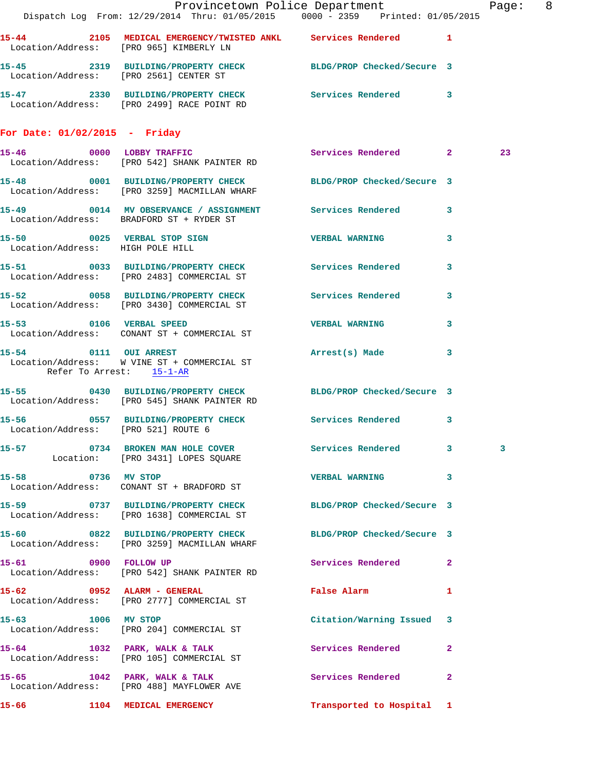|                                     |                                                                                                               | Provincetown Police Department                   | Page: 8 |
|-------------------------------------|---------------------------------------------------------------------------------------------------------------|--------------------------------------------------|---------|
|                                     | Dispatch Log From: 12/29/2014 Thru: 01/05/2015 0000 - 2359 Printed: 01/05/2015                                |                                                  |         |
|                                     | 15-44 2105 MEDICAL EMERGENCY/TWISTED ANKL Services Rendered 1<br>Location/Address: [PRO 965] KIMBERLY LN      |                                                  |         |
|                                     | 15-45 2319 BUILDING/PROPERTY CHECK BLDG/PROP Checked/Secure 3<br>Location/Address: [PRO 2561] CENTER ST       |                                                  |         |
|                                     | 15-47 2330 BUILDING/PROPERTY CHECK Services Rendered 3<br>Location/Address: [PRO 2499] RACE POINT RD          |                                                  |         |
| For Date: $01/02/2015$ - Friday     |                                                                                                               |                                                  |         |
|                                     | 15-46 0000 LOBBY TRAFFIC<br>Location/Address: [PRO 542] SHANK PAINTER RD                                      | Services Rendered 2                              | 23      |
|                                     | 15-48 0001 BUILDING/PROPERTY CHECK BLDG/PROP Checked/Secure 3<br>Location/Address: [PRO 3259] MACMILLAN WHARF |                                                  |         |
|                                     | 15-49 0014 MV OBSERVANCE / ASSIGNMENT Services Rendered 3<br>Location/Address: BRADFORD ST + RYDER ST         |                                                  |         |
| Location/Address: HIGH POLE HILL    | 15-50 0025 VERBAL STOP SIGN 15 VERBAL WARNING                                                                 | 3                                                |         |
|                                     | 15-51 0033 BUILDING/PROPERTY CHECK Services Rendered 3<br>Location/Address: [PRO 2483] COMMERCIAL ST          |                                                  |         |
|                                     | 15-52 0058 BUILDING/PROPERTY CHECK Services Rendered 3<br>Location/Address: [PRO 3430] COMMERCIAL ST          |                                                  |         |
|                                     | 15-53 0106 VERBAL SPEED<br>Location/Address: CONANT ST + COMMERCIAL ST                                        | <b>VERBAL WARNING</b> 3                          |         |
| Refer To Arrest: 15-1-AR            | 15-54 0111 OUI ARREST<br>Location/Address: W VINE ST + COMMERCIAL ST                                          | Arrest(s) Made<br>3                              |         |
|                                     | 15-55 0430 BUILDING/PROPERTY CHECK BLDG/PROP Checked/Secure 3<br>Location/Address: [PRO 545] SHANK PAINTER RD |                                                  |         |
| Location/Address: [PRO 521] ROUTE 6 | 15-56 0557 BUILDING/PROPERTY CHECK Services Rendered 3                                                        |                                                  |         |
|                                     | 15-57 0734 BROKEN MAN HOLE COVER<br>Location: [PRO 3431] LOPES SQUARE                                         | <b>Services Rendered 2003</b>                    | 3       |
| 15-58 0736 MV STOP                  | Location/Address: CONANT ST + BRADFORD ST                                                                     | VERBAL WARNING 3                                 |         |
|                                     | 15-59 0737 BUILDING/PROPERTY CHECK BLDG/PROP Checked/Secure 3<br>Location/Address: [PRO 1638] COMMERCIAL ST   |                                                  |         |
|                                     | 15-60 0822 BUILDING/PROPERTY CHECK<br>Location/Address: [PRO 3259] MACMILLAN WHARF                            | BLDG/PROP Checked/Secure 3                       |         |
| 15-61 0900 FOLLOW UP                | Location/Address: [PRO 542] SHANK PAINTER RD                                                                  | Services Rendered 2                              |         |
| 15-62 0952 ALARM - GENERAL          | Location/Address: [PRO 2777] COMMERCIAL ST                                                                    | False Alarm <b>Exercise Service Service</b><br>1 |         |
| 15-63 1006 MV STOP                  | Location/Address: [PRO 204] COMMERCIAL ST                                                                     | Citation/Warning Issued 3                        |         |
|                                     | 15-64 1032 PARK, WALK & TALK<br>Location/Address: [PRO 105] COMMERCIAL ST                                     | Services Rendered<br>$\mathbf{2}$                |         |
|                                     | 15-65 1042 PARK, WALK & TALK<br>Location/Address: [PRO 488] MAYFLOWER AVE                                     | Services Rendered<br>$\mathbf{2}$                |         |
|                                     |                                                                                                               | Transported to Hospital 1                        |         |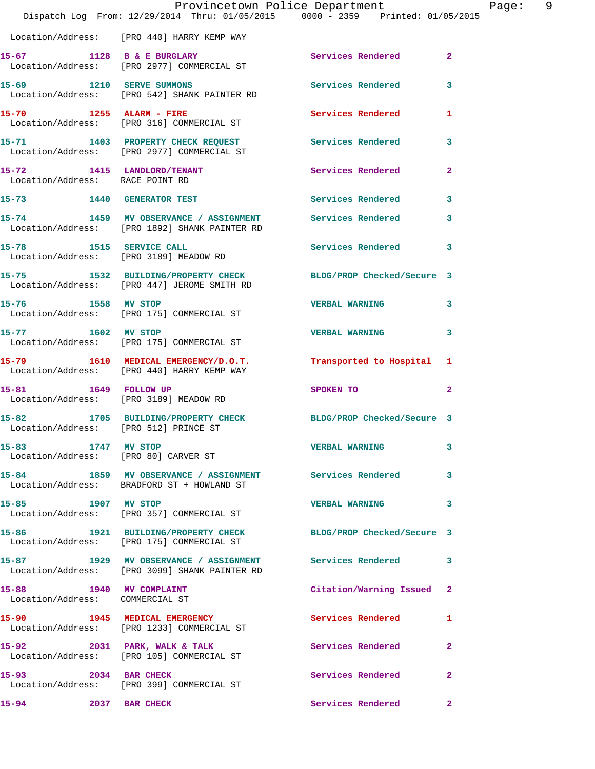|                                                            | Dispatch Log From: 12/29/2014 Thru: 01/05/2015 0000 - 2359 Printed: 01/05/2015                               | Provincetown Police Department | Page: 9      |
|------------------------------------------------------------|--------------------------------------------------------------------------------------------------------------|--------------------------------|--------------|
|                                                            | Location/Address: [PRO 440] HARRY KEMP WAY                                                                   |                                |              |
|                                                            | 15-67 1128 B & E BURGLARY Services Rendered 2<br>Location/Address: [PRO 2977] COMMERCIAL ST                  |                                |              |
|                                                            | 15-69 1210 SERVE SUMMONS<br>Location/Address: [PRO 542] SHANK PAINTER RD                                     | Services Rendered 3            |              |
|                                                            | 15-70 1255 ALARM - FIRE Services Rendered 1<br>Location/Address: [PRO 316] COMMERCIAL ST                     |                                |              |
|                                                            | 15-71 1403 PROPERTY CHECK REQUEST Services Rendered 3<br>Location/Address: [PRO 2977] COMMERCIAL ST          |                                |              |
| Location/Address: RACE POINT RD                            | 15-72 1415 LANDLORD/TENANT Services Rendered                                                                 |                                | $\mathbf{2}$ |
|                                                            | 15-73 1440 GENERATOR TEST                                                                                    | Services Rendered 3            |              |
|                                                            | 15-74 1459 MV OBSERVANCE / ASSIGNMENT Services Rendered 3<br>Location/Address: [PRO 1892] SHANK PAINTER RD   |                                |              |
|                                                            | 15-78 1515 SERVICE CALL<br>Location/Address: [PRO 3189] MEADOW RD                                            | Services Rendered 3            |              |
|                                                            | 15-75 1532 BUILDING/PROPERTY CHECK BLDG/PROP Checked/Secure 3<br>Location/Address: [PRO 447] JEROME SMITH RD |                                |              |
|                                                            | 15-76 1558 MV STOP<br>Location/Address: [PRO 175] COMMERCIAL ST                                              | <b>VERBAL WARNING</b>          | $\mathbf{3}$ |
| 15-77 1602 MV STOP                                         | Location/Address: [PRO 175] COMMERCIAL ST                                                                    | <b>VERBAL WARNING</b>          | 3            |
|                                                            | 15-79 1610 MEDICAL EMERGENCY/D.O.T. Transported to Hospital 1<br>Location/Address: [PRO 440] HARRY KEMP WAY  |                                |              |
| 15-81 1649 FOLLOW UP                                       | Location/Address: [PRO 3189] MEADOW RD                                                                       | SPOKEN TO                      | $\mathbf{2}$ |
| Location/Address: [PRO 512] PRINCE ST                      | 15-82 1705 BUILDING/PROPERTY CHECK BLDG/PROP Checked/Secure 3                                                |                                |              |
| 15-83 1747 MV STOP                                         | Location/Address: [PRO 80] CARVER ST                                                                         | <b>VERBAL WARNING</b>          | 3            |
|                                                            | 15-84 1859 MV OBSERVANCE / ASSIGNMENT Services Rendered 3<br>Location/Address: BRADFORD ST + HOWLAND ST      |                                |              |
| 15-85 1907 MV STOP                                         | Location/Address: [PRO 357] COMMERCIAL ST                                                                    | VERBAL WARNING 3               |              |
|                                                            | 15-86 1921 BUILDING/PROPERTY CHECK BLDG/PROP Checked/Secure 3<br>Location/Address: [PRO 175] COMMERCIAL ST   |                                |              |
|                                                            | 15-87 1929 MV OBSERVANCE / ASSIGNMENT Services Rendered 3<br>Location/Address: [PRO 3099] SHANK PAINTER RD   |                                |              |
| 15-88 1940 MV COMPLAINT<br>Location/Address: COMMERCIAL ST |                                                                                                              | Citation/Warning Issued 2      |              |
|                                                            | 15-90 1945 MEDICAL EMERGENCY<br>Location/Address: [PRO 1233] COMMERCIAL ST                                   | Services Rendered              | 1            |
|                                                            | 15-92 2031 PARK, WALK & TALK<br>Location/Address: [PRO 105] COMMERCIAL ST                                    | Services Rendered              | $\mathbf{2}$ |
| 15-93 2034 BAR CHECK                                       | Location/Address: [PRO 399] COMMERCIAL ST                                                                    | Services Rendered              | $\mathbf{2}$ |
| 15-94<br>2037 BAR CHECK                                    |                                                                                                              | Services Rendered 2            |              |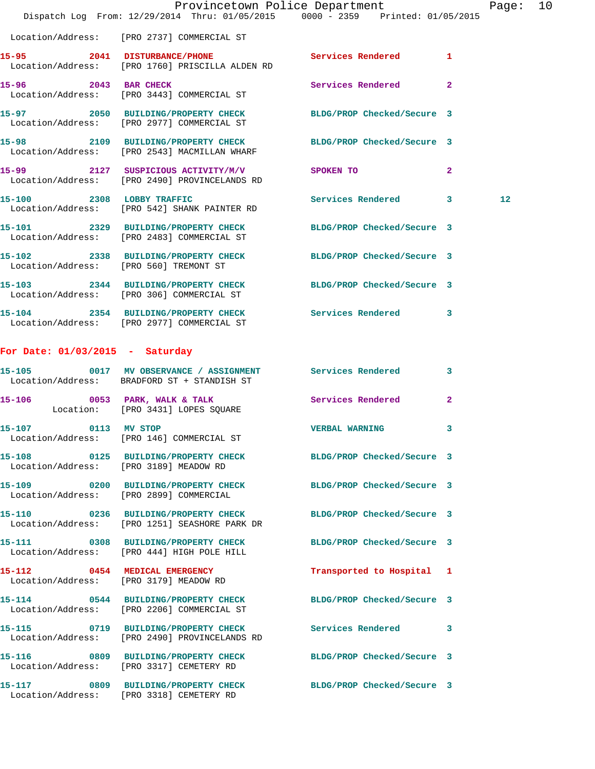|                                        | Dispatch Log From: 12/29/2014 Thru: 01/05/2015 0000 - 2359 Printed: 01/05/2015                                | Provincetown Police Department |              | Page: 10          |  |
|----------------------------------------|---------------------------------------------------------------------------------------------------------------|--------------------------------|--------------|-------------------|--|
|                                        | Location/Address: [PRO 2737] COMMERCIAL ST                                                                    |                                |              |                   |  |
| 15-95                                  | 2041 DISTURBANCE/PHONE Services Rendered 1<br>Location/Address: [PRO 1760] PRISCILLA ALDEN RD                 |                                |              |                   |  |
| 15-96 2043 BAR CHECK                   | Location/Address: [PRO 3443] COMMERCIAL ST                                                                    | Services Rendered              | $\mathbf{2}$ |                   |  |
|                                        | 15-97 2050 BUILDING/PROPERTY CHECK BLDG/PROP Checked/Secure 3<br>Location/Address: [PRO 2977] COMMERCIAL ST   |                                |              |                   |  |
|                                        | 15-98 2109 BUILDING/PROPERTY CHECK BLDG/PROP Checked/Secure 3<br>Location/Address: [PRO 2543] MACMILLAN WHARF |                                |              |                   |  |
|                                        | 15-99 2127 SUSPICIOUS ACTIVITY/M/V<br>Location/Address: [PRO 2490] PROVINCELANDS RD                           | SPOKEN TO                      | $\mathbf{2}$ |                   |  |
|                                        | 15-100 2308 LOBBY TRAFFIC<br>Location/Address: [PRO 542] SHANK PAINTER RD                                     | Services Rendered 3            |              | $12 \overline{ }$ |  |
|                                        | 15-101 2329 BUILDING/PROPERTY CHECK BLDG/PROP Checked/Secure 3<br>Location/Address: [PRO 2483] COMMERCIAL ST  |                                |              |                   |  |
| Location/Address: [PRO 560] TREMONT ST | 15-102 2338 BUILDING/PROPERTY CHECK                                                                           | BLDG/PROP Checked/Secure 3     |              |                   |  |
|                                        | 15-103 2344 BUILDING/PROPERTY CHECK BLDG/PROP Checked/Secure 3<br>Location/Address: [PRO 306] COMMERCIAL ST   |                                |              |                   |  |
|                                        | 15-104 2354 BUILDING/PROPERTY CHECK Services Rendered 3<br>Location/Address: [PRO 2977] COMMERCIAL ST         |                                |              |                   |  |
| For Date: $01/03/2015$ - Saturday      |                                                                                                               |                                |              |                   |  |
| $15 - 105$                             | 0017 MV OBSERVANCE / ASSIGNMENT Services Rendered 3<br>Location/Address: BRADFORD ST + STANDISH ST            |                                |              |                   |  |
|                                        | 15-106 0053 PARK, WALK & TALK Services Rendered<br>Location: [PRO 3431] LOPES SQUARE                          |                                | $\mathbf{2}$ |                   |  |
| 0113 MV STOP<br>15-107                 | Location/Address: [PRO 146] COMMERCIAL ST                                                                     | VERBAL WARNING                 | $\mathbf{3}$ |                   |  |
|                                        | 15-108 0125 BUILDING/PROPERTY CHECK BLDG/PROP Checked/Secure 3<br>Location/Address: [PRO 3189] MEADOW RD      |                                |              |                   |  |
|                                        | 15-109 0200 BUILDING/PROPERTY CHECK<br>Location/Address: [PRO 2899] COMMERCIAL                                | BLDG/PROP Checked/Secure 3     |              |                   |  |
|                                        | 15-110 0236 BUILDING/PROPERTY CHECK<br>Location/Address: [PRO 1251] SEASHORE PARK DR                          | BLDG/PROP Checked/Secure 3     |              |                   |  |
|                                        | 15-111 0308 BUILDING/PROPERTY CHECK<br>Location/Address: [PRO 444] HIGH POLE HILL                             | BLDG/PROP Checked/Secure 3     |              |                   |  |
|                                        | 15-112 0454 MEDICAL EMERGENCY<br>Location/Address: [PRO 3179] MEADOW RD                                       | Transported to Hospital 1      |              |                   |  |
|                                        | 15-114 0544 BUILDING/PROPERTY CHECK<br>Location/Address: [PRO 2206] COMMERCIAL ST                             | BLDG/PROP Checked/Secure 3     |              |                   |  |
|                                        | 15-115 0719 BUILDING/PROPERTY CHECK<br>Location/Address: [PRO 2490] PROVINCELANDS RD                          | Services Rendered 3            |              |                   |  |
|                                        | 15-116 0809 BUILDING/PROPERTY CHECK BLDG/PROP Checked/Secure 3<br>Location/Address: [PRO 3317] CEMETERY RD    |                                |              |                   |  |
|                                        | 15-117 0809 BUILDING/PROPERTY CHECK BLDG/PROP Checked/Secure 3<br>Location/Address: [PRO 3318] CEMETERY RD    |                                |              |                   |  |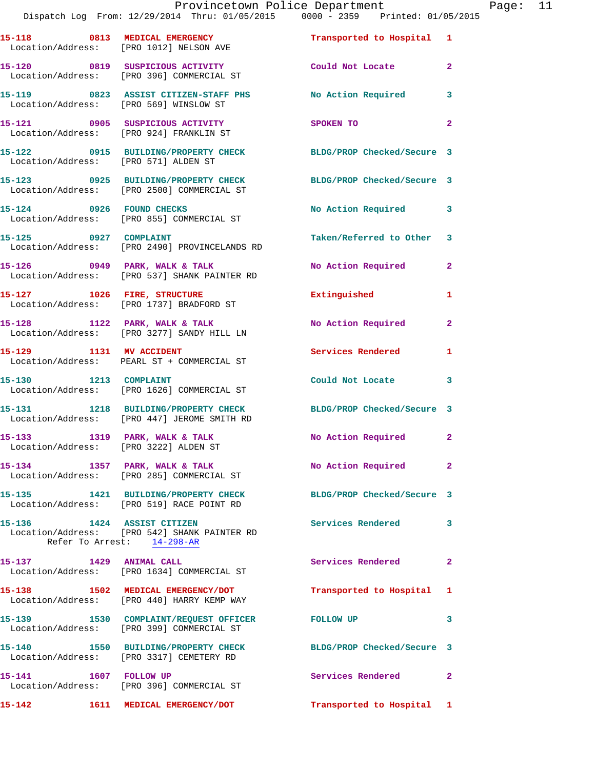|                                                                        | Provincetown Police Department<br>Dispatch Log From: 12/29/2014 Thru: 01/05/2015 0000 - 2359 Printed: 01/05/2015 |                            |                |
|------------------------------------------------------------------------|------------------------------------------------------------------------------------------------------------------|----------------------------|----------------|
|                                                                        | 15-118 0813 MEDICAL EMERGENCY Transported to Hospital 1<br>Location/Address: [PRO 1012] NELSON AVE               |                            |                |
|                                                                        | 15-120 0819 SUSPICIOUS ACTIVITY<br>Location/Address: [PRO 396] COMMERCIAL ST                                     | Could Not Locate           | $\mathbf{2}$   |
| Location/Address: [PRO 569] WINSLOW ST                                 | 15-119 0823 ASSIST CITIZEN-STAFF PHS No Action Required                                                          |                            | 3              |
|                                                                        | 15-121 0905 SUSPICIOUS ACTIVITY<br>Location/Address: [PRO 924] FRANKLIN ST                                       | SPOKEN TO                  | $\overline{a}$ |
| Location/Address: [PRO 571] ALDEN ST                                   | 15-122 0915 BUILDING/PROPERTY CHECK                                                                              | BLDG/PROP Checked/Secure 3 |                |
|                                                                        | 15-123 0925 BUILDING/PROPERTY CHECK BLDG/PROP Checked/Secure 3<br>Location/Address: [PRO 2500] COMMERCIAL ST     |                            |                |
|                                                                        | 15-124 0926 FOUND CHECKS<br>Location/Address: [PRO 855] COMMERCIAL ST                                            | No Action Required         | 3              |
| 15-125 0927 COMPLAINT                                                  | Location/Address: [PRO 2490] PROVINCELANDS RD                                                                    | Taken/Referred to Other    | 3              |
|                                                                        | 15-126 0949 PARK, WALK & TALK<br>Location/Address: [PRO 537] SHANK PAINTER RD                                    | No Action Required         | 2              |
|                                                                        | 15-127 1026 FIRE, STRUCTURE<br>Location/Address: [PRO 1737] BRADFORD ST                                          | Extinguished               | 1              |
|                                                                        | 15-128 1122 PARK, WALK & TALK<br>Location/Address: [PRO 3277] SANDY HILL LN                                      | No Action Required         | $\mathbf{2}$   |
| 15-129 1131 MV ACCIDENT                                                | Location/Address: PEARL ST + COMMERCIAL ST                                                                       | Services Rendered          | 1              |
|                                                                        | 15-130 1213 COMPLAINT<br>Location/Address: [PRO 1626] COMMERCIAL ST                                              | Could Not Locate           | 3              |
|                                                                        | 15-131 1218 BUILDING/PROPERTY CHECK<br>Location/Address: [PRO 447] JEROME SMITH RD                               | BLDG/PROP Checked/Secure 3 |                |
| 15-133 1319 PARK, WALK & TALK<br>Location/Address: [PRO 3222] ALDEN ST |                                                                                                                  | No Action Required         | $\mathbf{2}$   |
| 15-134 1357 PARK, WALK & TALK                                          | Location/Address: [PRO 285] COMMERCIAL ST                                                                        | No Action Required         | $\overline{a}$ |
|                                                                        | 15-135 1421 BUILDING/PROPERTY CHECK<br>Location/Address: [PRO 519] RACE POINT RD                                 | BLDG/PROP Checked/Secure 3 |                |
| 15-136                                                                 | 1424 ASSIST CITIZEN<br>Location/Address: [PRO 542] SHANK PAINTER RD<br>Refer To Arrest: 14-298-AR                | Services Rendered          | 3              |
| 15-137 1429 ANIMAL CALL                                                | Location/Address: [PRO 1634] COMMERCIAL ST                                                                       | Services Rendered          | $\mathbf{2}$   |
|                                                                        | 15-138 1502 MEDICAL EMERGENCY/DOT<br>Location/Address: [PRO 440] HARRY KEMP WAY                                  | Transported to Hospital    | 1              |
|                                                                        | 15-139 1530 COMPLAINT/REQUEST OFFICER<br>Location/Address: [PRO 399] COMMERCIAL ST                               | <b>FOLLOW UP</b>           | 3              |
|                                                                        |                                                                                                                  |                            |                |

**15-141 1607 FOLLOW UP Services Rendered 2**  Location/Address: [PRO 396] COMMERCIAL ST

**15-140 1550 BUILDING/PROPERTY CHECK BLDG/PROP Checked/Secure 3** 

**15-142 1611 MEDICAL EMERGENCY/DOT Transported to Hospital 1** 

Location/Address: [PRO 3317] CEMETERY RD

Page: 11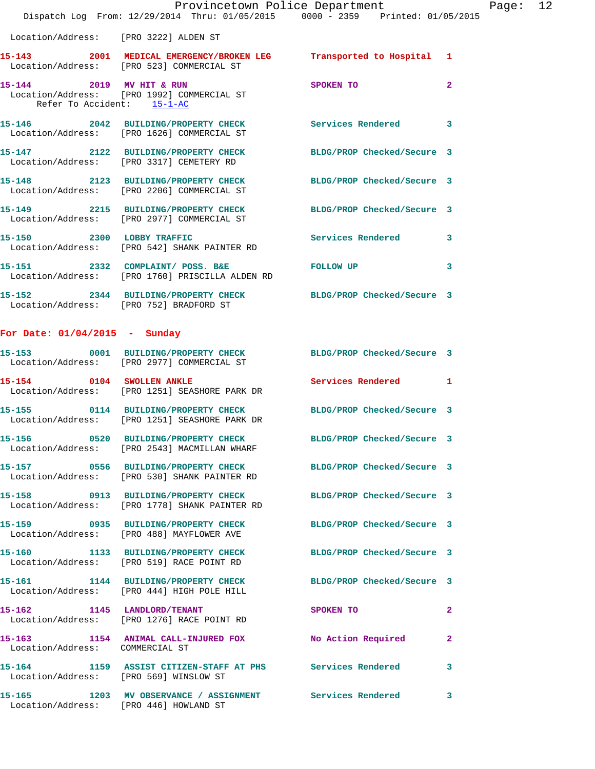|                                        | Dispatch Log From: 12/29/2014 Thru: 01/05/2015 0000 - 2359 Printed: 01/05/2015                                         | Provincetown Police Department Page: 12 |              |  |
|----------------------------------------|------------------------------------------------------------------------------------------------------------------------|-----------------------------------------|--------------|--|
| Location/Address: [PRO 3222] ALDEN ST  |                                                                                                                        |                                         |              |  |
|                                        | 15-143 2001 MEDICAL EMERGENCY/BROKEN LEG Transported to Hospital 1<br>Location/Address: [PRO 523] COMMERCIAL ST        |                                         |              |  |
| Refer To Accident: 15-1-AC             | 15-144 2019 MV HIT & RUN<br>Location/Address: [PRO 1992] COMMERCIAL ST                                                 | SPOKEN TO                               | $\mathbf{2}$ |  |
|                                        | 15-146 2042 BUILDING/PROPERTY CHECK Services Rendered 3<br>Location/Address: [PRO 1626] COMMERCIAL ST                  |                                         |              |  |
|                                        | 15-147 2122 BUILDING/PROPERTY CHECK BLDG/PROP Checked/Secure 3<br>Location/Address: [PRO 3317] CEMETERY RD             |                                         |              |  |
|                                        | 15-148 2123 BUILDING/PROPERTY CHECK BLDG/PROP Checked/Secure 3<br>Location/Address: [PRO 2206] COMMERCIAL ST           |                                         |              |  |
|                                        | 15-149 2215 BUILDING/PROPERTY CHECK BLDG/PROP Checked/Secure 3<br>Location/Address: [PRO 2977] COMMERCIAL ST           |                                         |              |  |
|                                        | 15-150 2300 LOBBY TRAFFIC<br>Location/Address: [PRO 542] SHANK PAINTER RD                                              | Services Rendered 3                     |              |  |
|                                        |                                                                                                                        |                                         | 3            |  |
|                                        | 15-152 2344 BUILDING/PROPERTY CHECK BLDG/PROP Checked/Secure 3<br>Location/Address: [PRO 752] BRADFORD ST              |                                         |              |  |
| For Date: $01/04/2015$ - Sunday        |                                                                                                                        |                                         |              |  |
|                                        | 15-153 0001 BUILDING/PROPERTY CHECK BLDG/PROP Checked/Secure 3<br>Location/Address: [PRO 2977] COMMERCIAL ST           |                                         |              |  |
|                                        | 15-154 0104 SWOLLEN ANKLE<br>Location/Address: [PRO 1251] SEASHORE PARK DR                                             | <b>Services Rendered</b> 1              |              |  |
|                                        | 15-155 0114 BUILDING/PROPERTY CHECK BLDG/PROP Checked/Secure 3<br>Location/Address: [PRO 1251] SEASHORE PARK DR        |                                         |              |  |
|                                        | 15-156 			 0520 BUILDING/PROPERTY CHECK 				BLDG/PROP Checked/Secure 3<br>Location/Address: [PRO 2543] MACMILLAN WHARF |                                         |              |  |
|                                        | 15-157 0556 BUILDING/PROPERTY CHECK BLDG/PROP Checked/Secure 3<br>Location/Address: [PRO 530] SHANK PAINTER RD         |                                         |              |  |
|                                        | 15-158 0913 BUILDING/PROPERTY CHECK BLDG/PROP Checked/Secure 3<br>Location/Address: [PRO 1778] SHANK PAINTER RD        |                                         |              |  |
|                                        | 15-159 0935 BUILDING/PROPERTY CHECK BLDG/PROP Checked/Secure 3<br>Location/Address: [PRO 488] MAYFLOWER AVE            |                                         |              |  |
|                                        | 15-160 1133 BUILDING/PROPERTY CHECK BLDG/PROP Checked/Secure 3<br>Location/Address: [PRO 519] RACE POINT RD            |                                         |              |  |
|                                        | 15-161 1144 BUILDING/PROPERTY CHECK BLDG/PROP Checked/Secure 3<br>Location/Address: [PRO 444] HIGH POLE HILL           |                                         |              |  |
| 15-162 1145 LANDLORD/TENANT            | Location/Address: [PRO 1276] RACE POINT RD                                                                             | SPOKEN TO                               | $\mathbf{2}$ |  |
| Location/Address: COMMERCIAL ST        | 15-163 1154 ANIMAL CALL-INJURED FOX No Action Required                                                                 |                                         | $\mathbf{2}$ |  |
| Location/Address: [PRO 569] WINSLOW ST | 15-164 1159 ASSIST CITIZEN-STAFF AT PHS Services Rendered                                                              |                                         | 3            |  |
|                                        | 15-165 1203 MV OBSERVANCE / ASSIGNMENT Services Rendered 3                                                             |                                         |              |  |

Location/Address: [PRO 446] HOWLAND ST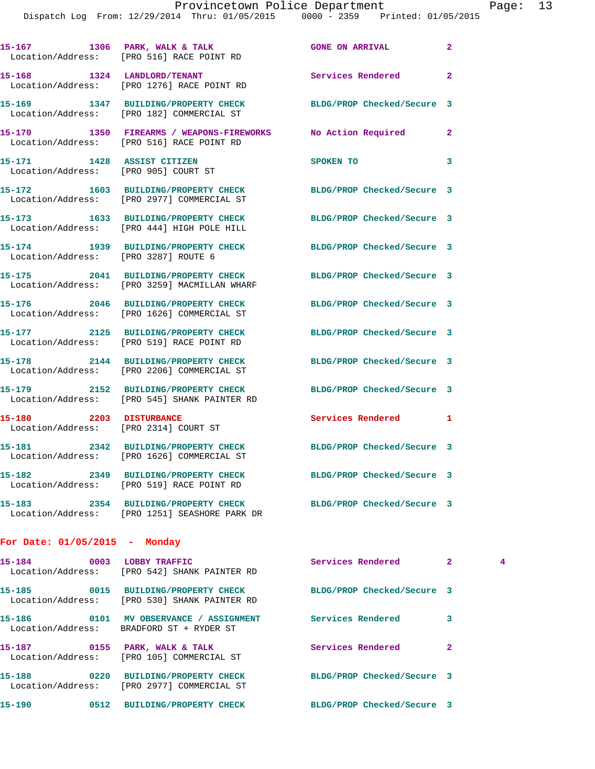|                                                | 15-167 1306 PARK, WALK & TALK<br>Location/Address: [PRO 516] RACE POINT RD            | <b>GONE ON ARRIVAL</b>     | $\mathbf{2}$            |
|------------------------------------------------|---------------------------------------------------------------------------------------|----------------------------|-------------------------|
| 15-168                                         | 1324 LANDLORD/TENANT<br>Location/Address: [PRO 1276] RACE POINT RD                    | Services Rendered          | $\mathbf{2}$            |
|                                                | 15-169 1347 BUILDING/PROPERTY CHECK<br>Location/Address: [PRO 182] COMMERCIAL ST      | BLDG/PROP Checked/Secure 3 |                         |
|                                                | 15-170 1350 FIREARMS / WEAPONS-FIREWORKS<br>Location/Address: [PRO 516] RACE POINT RD | No Action Required         | $\mathbf{2}$            |
| 15-171 1428 ASSIST CITIZEN                     | Location/Address: [PRO 905] COURT ST                                                  | SPOKEN TO                  | $\overline{\mathbf{3}}$ |
| 15-172                                         | 1603 BUILDING/PROPERTY CHECK<br>Location/Address: [PRO 2977] COMMERCIAL ST            | BLDG/PROP Checked/Secure 3 |                         |
| 15-173                                         | 1633 BUILDING/PROPERTY CHECK<br>Location/Address: [PRO 444] HIGH POLE HILL            | BLDG/PROP Checked/Secure 3 |                         |
| 15-174<br>Location/Address: [PRO 3287] ROUTE 6 | 1939 BUILDING/PROPERTY CHECK                                                          | BLDG/PROP Checked/Secure 3 |                         |
|                                                | 15-175 2041 BUILDING/PROPERTY CHECK<br>Location/Address: [PRO 3259] MACMILLAN WHARF   | BLDG/PROP Checked/Secure 3 |                         |
|                                                | 15-176 2046 BUILDING/PROPERTY CHECK<br>Location/Address: [PRO 1626] COMMERCIAL ST     | BLDG/PROP Checked/Secure 3 |                         |
|                                                | 15-177 2125 BUILDING/PROPERTY CHECK<br>Location/Address: [PRO 519] RACE POINT RD      | BLDG/PROP Checked/Secure 3 |                         |
|                                                | 15-178 2144 BUILDING/PROPERTY CHECK<br>Location/Address: [PRO 2206] COMMERCIAL ST     | BLDG/PROP Checked/Secure 3 |                         |
| 15-179                                         | 2152 BUILDING/PROPERTY CHECK<br>Location/Address: [PRO 545] SHANK PAINTER RD          | BLDG/PROP Checked/Secure 3 |                         |
| 15-180                                         | 2203 DISTURBANCE<br>Location/Address: [PRO 2314] COURT ST                             | Services Rendered 1        |                         |
|                                                | 15-181 2342 BUILDING/PROPERTY CHECK<br>Location/Address: [PRO 1626] COMMERCIAL ST     | BLDG/PROP Checked/Secure 3 |                         |
|                                                | 15-182 2349 BUILDING/PROPERTY CHECK<br>Location/Address: [PRO 519] RACE POINT RD      | BLDG/PROP Checked/Secure 3 |                         |
|                                                | 15-183 2354 BUILDING/PROPERTY CHECK<br>Location/Address: [PRO 1251] SEASHORE PARK DR  | BLDG/PROP Checked/Secure 3 |                         |
|                                                |                                                                                       |                            |                         |

**For Date: 01/05/2015 - Monday**

| 15-184<br>0003 | LOBBY TRAFFIC<br>Location/Address: [PRO 542] SHANK PAINTER RD                | Services Rendered          | $\overline{2}$ | 4 |
|----------------|------------------------------------------------------------------------------|----------------------------|----------------|---|
| 15–185         | 0015 BUILDING/PROPERTY CHECK<br>Location/Address: [PRO 530] SHANK PAINTER RD | BLDG/PROP Checked/Secure 3 |                |   |
| 15–186<br>0101 | MV OBSERVANCE / ASSIGNMENT<br>Location/Address: BRADFORD ST + RYDER ST       | Services Rendered          | 3              |   |
| 15–187<br>0155 | PARK, WALK & TALK<br>Location/Address: [PRO 105] COMMERCIAL ST               | Services Rendered          | $\overline{a}$ |   |
| 15–188         | 0220 BUILDING/PROPERTY CHECK<br>Location/Address: [PRO 2977] COMMERCIAL ST   | BLDG/PROP Checked/Secure 3 |                |   |
| 15-190         | 0512<br>BUILDING/PROPERTY CHECK                                              | BLDG/PROP Checked/Secure 3 |                |   |